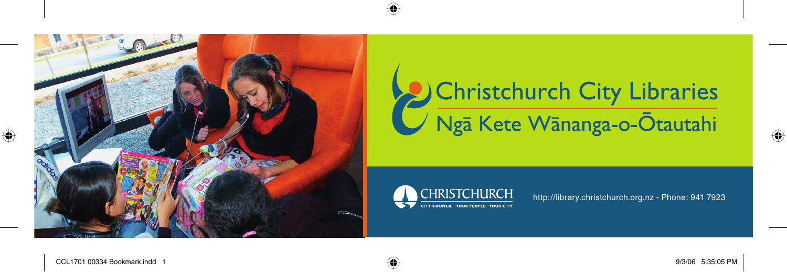

## Christchurch City Libraries  $\sqrt{\sqrt{2}}$  Kete Wānanga-o- $\bar{O}$ tautahi



http://library.christchurch.org.nz - Phone: 941 7923